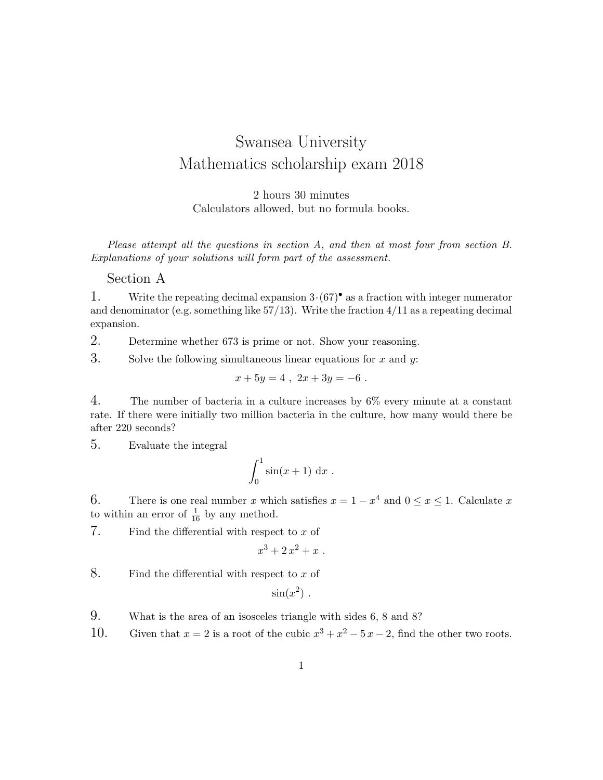## Swansea University Mathematics scholarship exam 2018

2 hours 30 minutes Calculators allowed, but no formula books.

Please attempt all the questions in section A, and then at most four from section B. Explanations of your solutions will form part of the assessment.

Section A

1. Write the repeating decimal expansion  $3 \cdot (67)^{\bullet}$  as a fraction with integer numerator and denominator (e.g. something like  $57/13$ ). Write the fraction  $4/11$  as a repeating decimal expansion.

2. Determine whether 673 is prime or not. Show your reasoning.

3. Solve the following simultaneous linear equations for  $x$  and  $y$ :

$$
x + 5y = 4 \; , \; 2x + 3y = -6 \; .
$$

4. The number of bacteria in a culture increases by  $6\%$  every minute at a constant rate. If there were initially two million bacteria in the culture, how many would there be after 220 seconds?

5. Evaluate the integral

$$
\int_0^1 \sin(x+1) \, \mathrm{d}x \; .
$$

6. There is one real number x which satisfies  $x = 1 - x^4$  and  $0 \le x \le 1$ . Calculate x to within an error of  $\frac{1}{16}$  by any method.

7. Find the differential with respect to  $x$  of

$$
x^3 + 2x^2 + x \; .
$$

8. Find the differential with respect to  $x$  of

$$
\sin(x^2) \; .
$$

- 9. What is the area of an isosceles triangle with sides 6, 8 and 8?
- 10. Given that  $x = 2$  is a root of the cubic  $x^3 + x^2 5x 2$ , find the other two roots.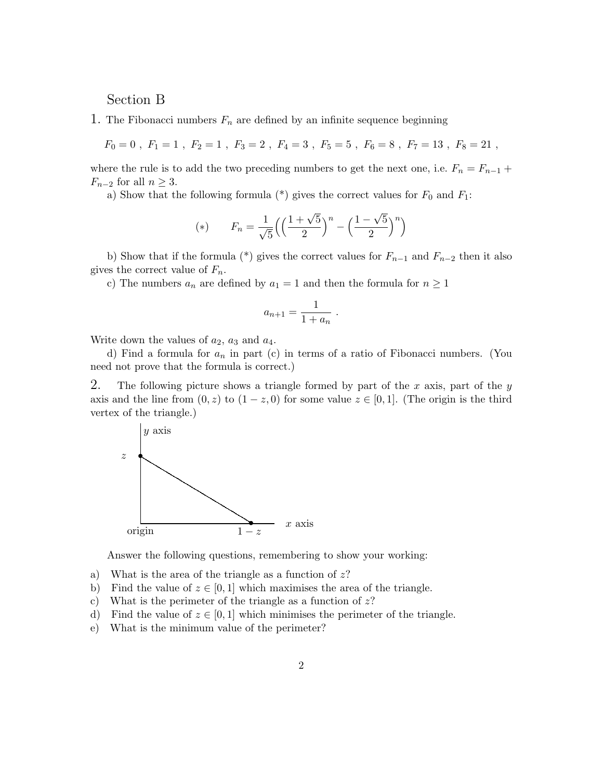## Section B

1. The Fibonacci numbers  $F_n$  are defined by an infinite sequence beginning

 $F_0 = 0$ ,  $F_1 = 1$ ,  $F_2 = 1$ ,  $F_3 = 2$ ,  $F_4 = 3$ ,  $F_5 = 5$ ,  $F_6 = 8$ ,  $F_7 = 13$ ,  $F_8 = 21$ ,

where the rule is to add the two preceding numbers to get the next one, i.e.  $F_n = F_{n-1}$  +  $F_{n-2}$  for all  $n \geq 3$ .

a) Show that the following formula  $(*)$  gives the correct values for  $F_0$  and  $F_1$ :

(\*) 
$$
F_n = \frac{1}{\sqrt{5}} \left( \left( \frac{1 + \sqrt{5}}{2} \right)^n - \left( \frac{1 - \sqrt{5}}{2} \right)^n \right)
$$

b) Show that if the formula (\*) gives the correct values for  $F_{n-1}$  and  $F_{n-2}$  then it also gives the correct value of  $F_n$ .

c) The numbers  $a_n$  are defined by  $a_1 = 1$  and then the formula for  $n \geq 1$ 

$$
a_{n+1} = \frac{1}{1 + a_n}
$$

.

Write down the values of  $a_2$ ,  $a_3$  and  $a_4$ .

d) Find a formula for  $a_n$  in part (c) in terms of a ratio of Fibonacci numbers. (You need not prove that the formula is correct.)

2. The following picture shows a triangle formed by part of the x axis, part of the y axis and the line from  $(0, z)$  to  $(1 - z, 0)$  for some value  $z \in [0, 1]$ . (The origin is the third vertex of the triangle.)



Answer the following questions, remembering to show your working:

- a) What is the area of the triangle as a function of  $z$ ?
- b) Find the value of  $z \in [0, 1]$  which maximises the area of the triangle.
- c) What is the perimeter of the triangle as a function of  $z$ ?
- d) Find the value of  $z \in [0, 1]$  which minimises the perimeter of the triangle.
- e) What is the minimum value of the perimeter?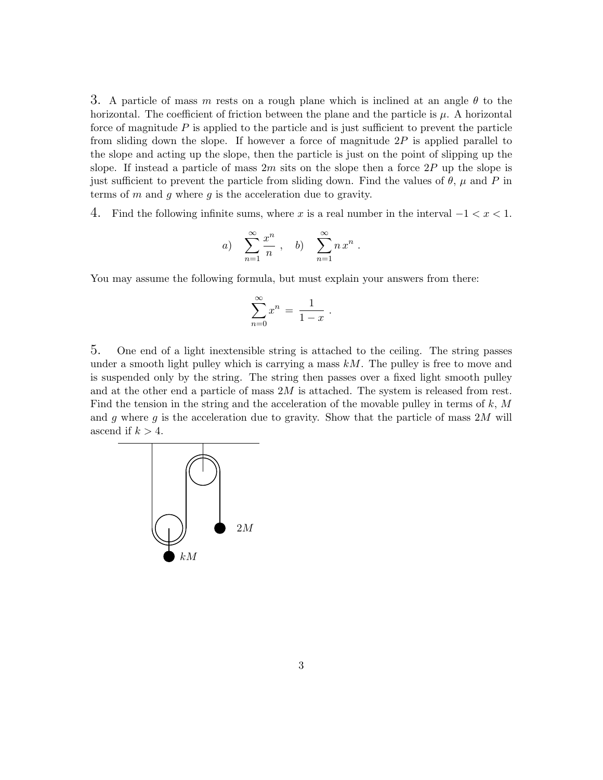3. A particle of mass m rests on a rough plane which is inclined at an angle  $\theta$  to the horizontal. The coefficient of friction between the plane and the particle is  $\mu$ . A horizontal force of magnitude  $P$  is applied to the particle and is just sufficient to prevent the particle from sliding down the slope. If however a force of magnitude  $2P$  is applied parallel to the slope and acting up the slope, then the particle is just on the point of slipping up the slope. If instead a particle of mass  $2m$  sits on the slope then a force  $2P$  up the slope is just sufficient to prevent the particle from sliding down. Find the values of  $\theta$ ,  $\mu$  and  $P$  in terms of m and g where g is the acceleration due to gravity.

4. Find the following infinite sums, where x is a real number in the interval  $-1 < x < 1$ .

a) 
$$
\sum_{n=1}^{\infty} \frac{x^n}{n}
$$
, b) 
$$
\sum_{n=1}^{\infty} n x^n
$$
.

You may assume the following formula, but must explain your answers from there:

$$
\sum_{n=0}^{\infty} x^n = \frac{1}{1-x} .
$$

5. One end of a light inextensible string is attached to the ceiling. The string passes under a smooth light pulley which is carrying a mass  $kM$ . The pulley is free to move and is suspended only by the string. The string then passes over a fixed light smooth pulley and at the other end a particle of mass  $2M$  is attached. The system is released from rest. Find the tension in the string and the acceleration of the movable pulley in terms of  $k$ ,  $M$ and g where g is the acceleration due to gravity. Show that the particle of mass  $2M$  will ascend if  $k > 4$ . One end of a fight mextensible string is attached to the cening. The

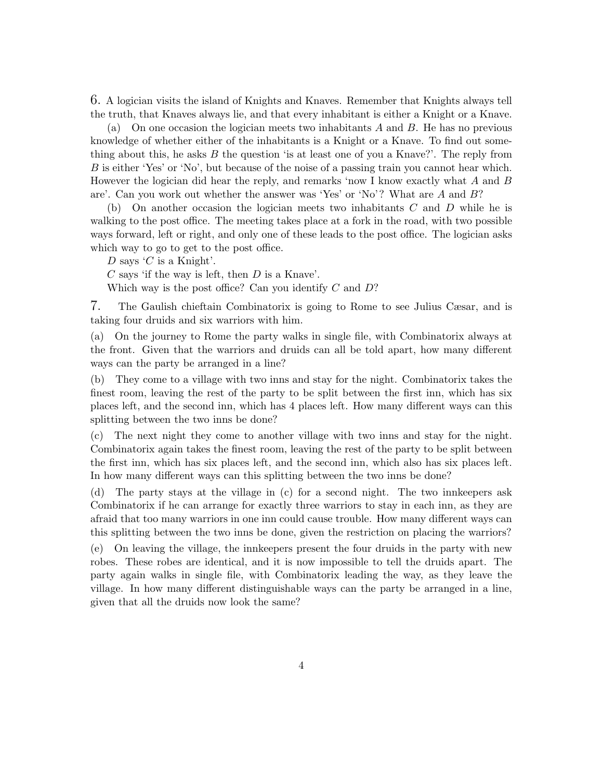6. A logician visits the island of Knights and Knaves. Remember that Knights always tell the truth, that Knaves always lie, and that every inhabitant is either a Knight or a Knave.

(a) On one occasion the logician meets two inhabitants A and B. He has no previous knowledge of whether either of the inhabitants is a Knight or a Knave. To find out something about this, he asks  $B$  the question 'is at least one of you a Knave?'. The reply from B is either 'Yes' or 'No', but because of the noise of a passing train you cannot hear which. However the logician did hear the reply, and remarks 'now I know exactly what A and B are'. Can you work out whether the answer was 'Yes' or 'No'? What are A and B?

(b) On another occasion the logician meets two inhabitants  $C$  and  $D$  while he is walking to the post office. The meeting takes place at a fork in the road, with two possible ways forward, left or right, and only one of these leads to the post office. The logician asks which way to go to get to the post office.

D says  $'C$  is a Knight'.

 $C$  says 'if the way is left, then  $D$  is a Knave'.

Which way is the post office? Can you identify  $C$  and  $D$ ?

7. The Gaulish chieftain Combinatorix is going to Rome to see Julius Cæsar, and is taking four druids and six warriors with him.

(a) On the journey to Rome the party walks in single file, with Combinatorix always at the front. Given that the warriors and druids can all be told apart, how many different ways can the party be arranged in a line?

(b) They come to a village with two inns and stay for the night. Combinatorix takes the finest room, leaving the rest of the party to be split between the first inn, which has six places left, and the second inn, which has 4 places left. How many different ways can this splitting between the two inns be done?

(c) The next night they come to another village with two inns and stay for the night. Combinatorix again takes the finest room, leaving the rest of the party to be split between the first inn, which has six places left, and the second inn, which also has six places left. In how many different ways can this splitting between the two inns be done?

(d) The party stays at the village in (c) for a second night. The two innkeepers ask Combinatorix if he can arrange for exactly three warriors to stay in each inn, as they are afraid that too many warriors in one inn could cause trouble. How many different ways can this splitting between the two inns be done, given the restriction on placing the warriors?

(e) On leaving the village, the innkeepers present the four druids in the party with new robes. These robes are identical, and it is now impossible to tell the druids apart. The party again walks in single file, with Combinatorix leading the way, as they leave the village. In how many different distinguishable ways can the party be arranged in a line, given that all the druids now look the same?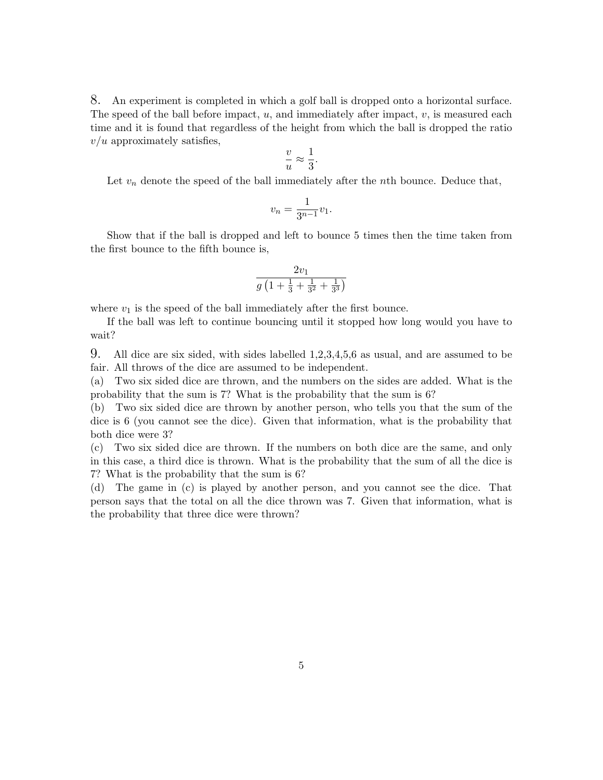8. An experiment is completed in which a golf ball is dropped onto a horizontal surface. The speed of the ball before impact,  $u$ , and immediately after impact,  $v$ , is measured each time and it is found that regardless of the height from which the ball is dropped the ratio  $v/u$  approximately satisfies,

$$
\frac{v}{u} \approx \frac{1}{3}.
$$

Let  $v_n$  denote the speed of the ball immediately after the nth bounce. Deduce that,

$$
v_n = \frac{1}{3^{n-1}}v_1.
$$

Show that if the ball is dropped and left to bounce 5 times then the time taken from the first bounce to the fifth bounce is,

$$
\frac{2v_1}{g\left(1+\frac{1}{3}+\frac{1}{3^2}+\frac{1}{3^3}\right)}
$$

where  $v_1$  is the speed of the ball immediately after the first bounce.

If the ball was left to continue bouncing until it stopped how long would you have to wait?

9. All dice are six sided, with sides labelled 1,2,3,4,5,6 as usual, and are assumed to be fair. All throws of the dice are assumed to be independent.

(a) Two six sided dice are thrown, and the numbers on the sides are added. What is the probability that the sum is 7? What is the probability that the sum is 6?

(b) Two six sided dice are thrown by another person, who tells you that the sum of the dice is 6 (you cannot see the dice). Given that information, what is the probability that both dice were 3?

(c) Two six sided dice are thrown. If the numbers on both dice are the same, and only in this case, a third dice is thrown. What is the probability that the sum of all the dice is 7? What is the probability that the sum is 6?

(d) The game in (c) is played by another person, and you cannot see the dice. That person says that the total on all the dice thrown was 7. Given that information, what is the probability that three dice were thrown?